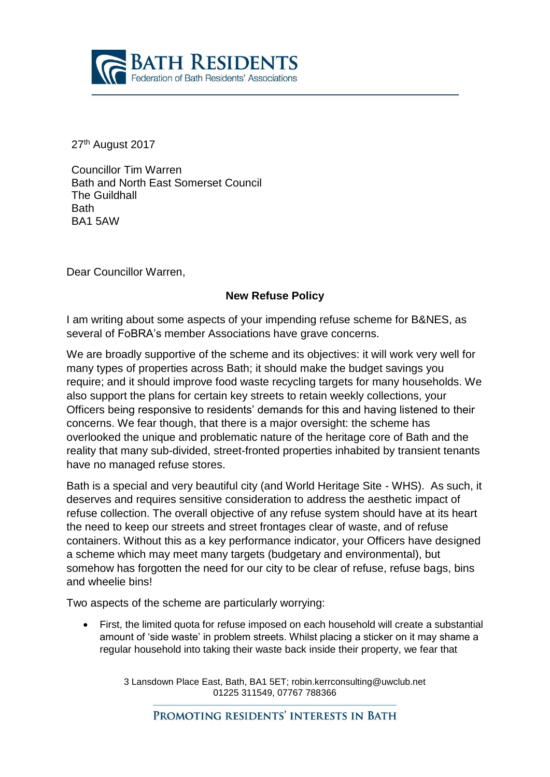

27<sup>th</sup> August 2017

Councillor Tim Warren Bath and North East Somerset Council The Guildhall **Bath** BA1 5AW

Dear Councillor Warren,

## **New Refuse Policy**

I am writing about some aspects of your impending refuse scheme for B&NES, as several of FoBRA's member Associations have grave concerns.

We are broadly supportive of the scheme and its objectives: it will work very well for many types of properties across Bath; it should make the budget savings you require; and it should improve food waste recycling targets for many households. We also support the plans for certain key streets to retain weekly collections, your Officers being responsive to residents' demands for this and having listened to their concerns. We fear though, that there is a major oversight: the scheme has overlooked the unique and problematic nature of the heritage core of Bath and the reality that many sub-divided, street-fronted properties inhabited by transient tenants have no managed refuse stores.

Bath is a special and very beautiful city (and World Heritage Site - WHS). As such, it deserves and requires sensitive consideration to address the aesthetic impact of refuse collection. The overall objective of any refuse system should have at its heart the need to keep our streets and street frontages clear of waste, and of refuse containers. Without this as a key performance indicator, your Officers have designed a scheme which may meet many targets (budgetary and environmental), but somehow has forgotten the need for our city to be clear of refuse, refuse bags, bins and wheelie bins!

Two aspects of the scheme are particularly worrying:

• First, the limited quota for refuse imposed on each household will create a substantial amount of 'side waste' in problem streets. Whilst placing a sticker on it may shame a regular household into taking their waste back inside their property, we fear that

> 3 Lansdown Place East, Bath, BA1 5ET; robin.kerrconsulting@uwclub.net 01225 311549, 07767 788366